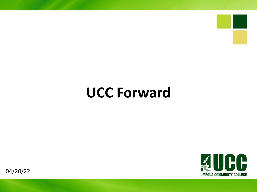# **UCC Forward**



04/20/22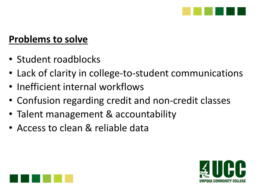

#### **Problems to solve**

- Student roadblocks
- Lack of clarity in college-to-student communications
- Inefficient internal workflows
- Confusion regarding credit and non-credit classes
- Talent management & accountability
- Access to clean & reliable data



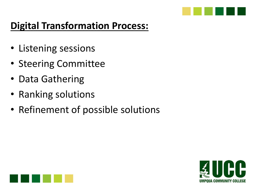

## **Digital Transformation Process:**

- Listening sessions
- Steering Committee
- Data Gathering
- Ranking solutions
- Refinement of possible solutions



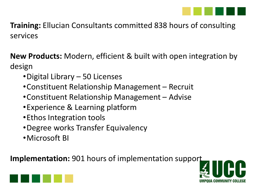

**Training:** Ellucian Consultants committed 838 hours of consulting services

**New Products:** Modern, efficient & built with open integration by design

- •Digital Library 50 Licenses
- •Constituent Relationship Management Recruit
- •Constituent Relationship Management Advise
- •Experience & Learning platform
- •Ethos Integration tools
- •Degree works Transfer Equivalency
- •Microsoft BI

**Implementation:** 901 hours of implementation support



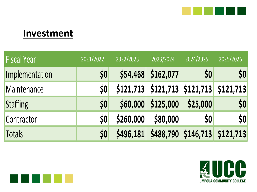

#### **Investment**

| <b>Fiscal Year</b> | 2021/2022 | 2022/2023 | 2023/2024                               | 2024/2025 | 2025/2026                     |
|--------------------|-----------|-----------|-----------------------------------------|-----------|-------------------------------|
| Implementation     | \$0       | \$54,468  | \$162,077                               | \$0       | 50                            |
| Maintenance        | \$0       |           | \$121,713 \$121,713 \$121,713 \$121,713 |           |                               |
| Staffing           | \$0       | \$60,000  | \$125,000                               | \$25,000  | 50                            |
| Contractor         | \$0       | \$260,000 | \$80,000                                | \$0       | $\boldsymbol{\mathsf{50}}$    |
| <b>Totals</b>      | \$0       | \$496,181 |                                         |           | \$488,790 \$146,713 \$121,713 |